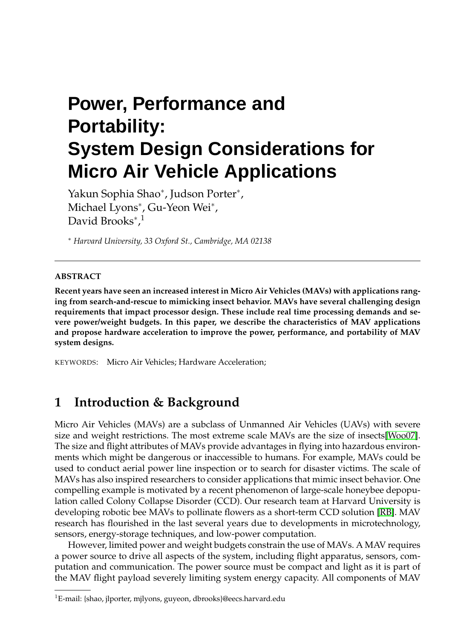# **Power, Performance and Portability: System Design Considerations for Micro Air Vehicle Applications**

Yakun Sophia Shao<sup>∗</sup> , Judson Porter<sup>∗</sup> , Michael Lyons<sup>\*</sup>, Gu-Yeon Wei<sup>\*</sup>, David Brooks<sup>\*</sup>,<sup>1</sup>

<sup>∗</sup> *Harvard University, 33 Oxford St., Cambridge, MA 02138*

#### **ABSTRACT**

**Recent years have seen an increased interest in Micro Air Vehicles (MAVs) with applications ranging from search-and-rescue to mimicking insect behavior. MAVs have several challenging design requirements that impact processor design. These include real time processing demands and severe power/weight budgets. In this paper, we describe the characteristics of MAV applications and propose hardware acceleration to improve the power, performance, and portability of MAV system designs.**

KEYWORDS: Micro Air Vehicles; Hardware Acceleration;

#### **1 Introduction & Background**

Micro Air Vehicles (MAVs) are a subclass of Unmanned Air Vehicles (UAVs) with severe size and weight restrictions. The most extreme scale MAVs are the size of insects[\[Woo07\]](#page-3-0). The size and flight attributes of MAVs provide advantages in flying into hazardous environments which might be dangerous or inaccessible to humans. For example, MAVs could be used to conduct aerial power line inspection or to search for disaster victims. The scale of MAVs has also inspired researchers to consider applications that mimic insect behavior. One compelling example is motivated by a recent phenomenon of large-scale honeybee depopulation called Colony Collapse Disorder (CCD). Our research team at Harvard University is developing robotic bee MAVs to pollinate flowers as a short-term CCD solution [\[RB\]](#page-3-1). MAV research has flourished in the last several years due to developments in microtechnology, sensors, energy-storage techniques, and low-power computation.

However, limited power and weight budgets constrain the use of MAVs. A MAV requires a power source to drive all aspects of the system, including flight apparatus, sensors, computation and communication. The power source must be compact and light as it is part of the MAV flight payload severely limiting system energy capacity. All components of MAV

<sup>1</sup>E-mail: {shao, jlporter, mjlyons, guyeon, dbrooks}@eecs.harvard.edu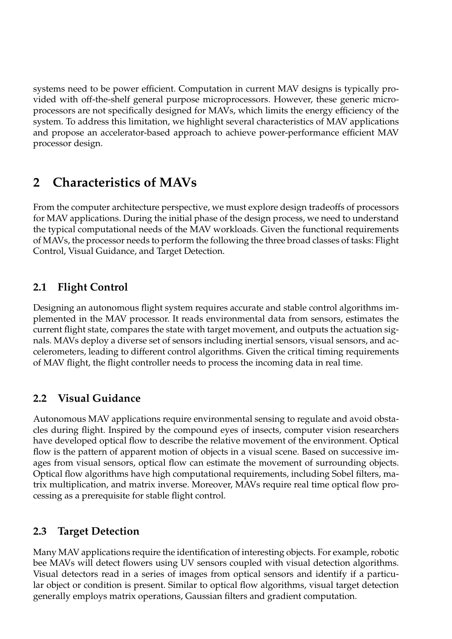systems need to be power efficient. Computation in current MAV designs is typically provided with off-the-shelf general purpose microprocessors. However, these generic microprocessors are not specifically designed for MAVs, which limits the energy efficiency of the system. To address this limitation, we highlight several characteristics of MAV applications and propose an accelerator-based approach to achieve power-performance efficient MAV processor design.

# **2 Characteristics of MAVs**

From the computer architecture perspective, we must explore design tradeoffs of processors for MAV applications. During the initial phase of the design process, we need to understand the typical computational needs of the MAV workloads. Given the functional requirements of MAVs, the processor needs to perform the following the three broad classes of tasks: Flight Control, Visual Guidance, and Target Detection.

### **2.1 Flight Control**

Designing an autonomous flight system requires accurate and stable control algorithms implemented in the MAV processor. It reads environmental data from sensors, estimates the current flight state, compares the state with target movement, and outputs the actuation signals. MAVs deploy a diverse set of sensors including inertial sensors, visual sensors, and accelerometers, leading to different control algorithms. Given the critical timing requirements of MAV flight, the flight controller needs to process the incoming data in real time.

#### **2.2 Visual Guidance**

Autonomous MAV applications require environmental sensing to regulate and avoid obstacles during flight. Inspired by the compound eyes of insects, computer vision researchers have developed optical flow to describe the relative movement of the environment. Optical flow is the pattern of apparent motion of objects in a visual scene. Based on successive images from visual sensors, optical flow can estimate the movement of surrounding objects. Optical flow algorithms have high computational requirements, including Sobel filters, matrix multiplication, and matrix inverse. Moreover, MAVs require real time optical flow processing as a prerequisite for stable flight control.

#### **2.3 Target Detection**

Many MAV applications require the identification of interesting objects. For example, robotic bee MAVs will detect flowers using UV sensors coupled with visual detection algorithms. Visual detectors read in a series of images from optical sensors and identify if a particular object or condition is present. Similar to optical flow algorithms, visual target detection generally employs matrix operations, Gaussian filters and gradient computation.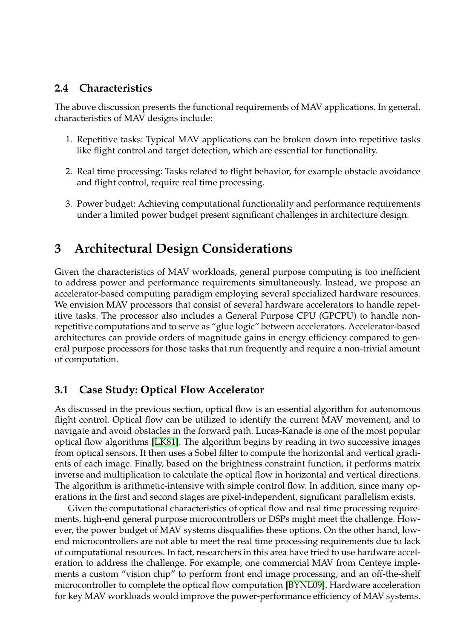#### **2.4 Characteristics**

The above discussion presents the functional requirements of MAV applications. In general, characteristics of MAV designs include:

- 1. Repetitive tasks: Typical MAV applications can be broken down into repetitive tasks like flight control and target detection, which are essential for functionality.
- 2. Real time processing: Tasks related to flight behavior, for example obstacle avoidance and flight control, require real time processing.
- 3. Power budget: Achieving computational functionality and performance requirements under a limited power budget present significant challenges in architecture design.

## **3 Architectural Design Considerations**

Given the characteristics of MAV workloads, general purpose computing is too inefficient to address power and performance requirements simultaneously. Instead, we propose an accelerator-based computing paradigm employing several specialized hardware resources. We envision MAV processors that consist of several hardware accelerators to handle repetitive tasks. The processor also includes a General Purpose CPU (GPCPU) to handle nonrepetitive computations and to serve as "glue logic" between accelerators. Accelerator-based architectures can provide orders of magnitude gains in energy efficiency compared to general purpose processors for those tasks that run frequently and require a non-trivial amount of computation.

#### **3.1 Case Study: Optical Flow Accelerator**

As discussed in the previous section, optical flow is an essential algorithm for autonomous flight control. Optical flow can be utilized to identify the current MAV movement, and to navigate and avoid obstacles in the forward path. Lucas-Kanade is one of the most popular optical flow algorithms [\[LK81\]](#page-3-2). The algorithm begins by reading in two successive images from optical sensors. It then uses a Sobel filter to compute the horizontal and vertical gradients of each image. Finally, based on the brightness constraint function, it performs matrix inverse and multiplication to calculate the optical flow in horizontal and vertical directions. The algorithm is arithmetic-intensive with simple control flow. In addition, since many operations in the first and second stages are pixel-independent, significant parallelism exists.

Given the computational characteristics of optical flow and real time processing requirements, high-end general purpose microcontrollers or DSPs might meet the challenge. However, the power budget of MAV systems disqualifies these options. On the other hand, lowend microcontrollers are not able to meet the real time processing requirements due to lack of computational resources. In fact, researchers in this area have tried to use hardware acceleration to address the challenge. For example, one commercial MAV from Centeye implements a custom "vision chip" to perform front end image processing, and an off-the-shelf microcontroller to complete the optical flow computation [\[BYNL09\]](#page-3-3). Hardware acceleration for key MAV workloads would improve the power-performance efficiency of MAV systems.